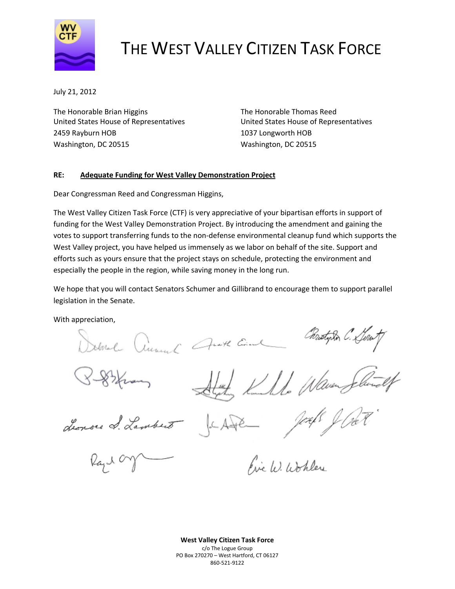

## THE WEST VALLEY CITIZEN TASK FORCE

July 21, 2012

The Honorable Brian Higgins The Honorable Thomas Reed United States House of Representatives United States House of Representatives 2459 Rayburn HOB 1037 Longworth HOB Washington, DC 20515 Washington, DC 20515

## **RE: Adequate Funding for West Valley Demonstration Project**

Dear Congressman Reed and Congressman Higgins,

The West Valley Citizen Task Force (CTF) is very appreciative of your bipartisan efforts in support of funding for the West Valley Demonstration Project. By introducing the amendment and gaining the votes to support transferring funds to the non-defense environmental cleanup fund which supports the West Valley project, you have helped us immensely as we labor on behalf of the site. Support and efforts such as yours ensure that the project stays on schedule, protecting the environment and especially the people in the region, while saving money in the long run.

We hope that you will contact Senators Schumer and Gillibrand to encourage them to support parallel legislation in the Senate.

With appreciation,

Christijska C. Linu Hotal Cheminal Anoth Come

While Waven Jelu

Lenore &. Lambert

 $\mu$ <sub>4</sub> $\mu$ 

Fire W. Wohlen

**West Valley Citizen Task Force** c/o The Logue Group PO Box 270270 – West Hartford, CT 06127 860‐521‐9122